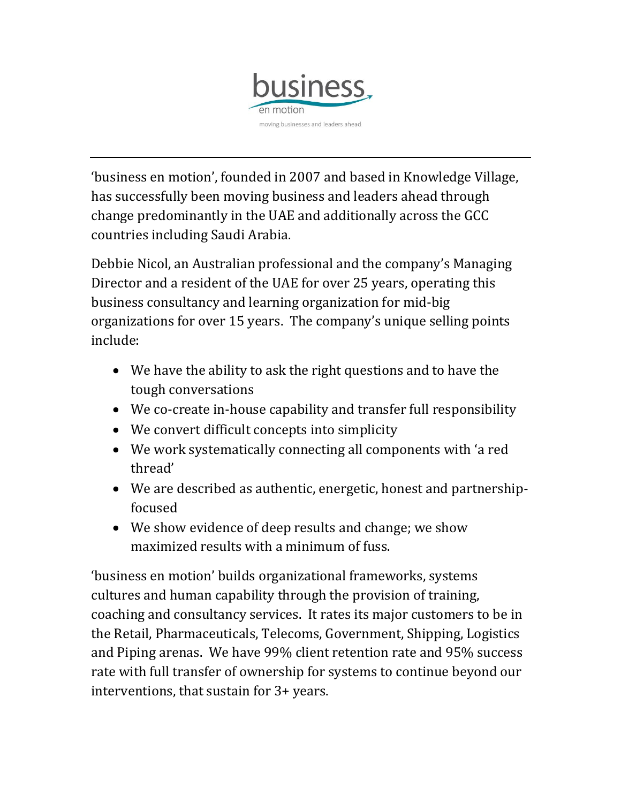

'business en motion', founded in 2007 and based in Knowledge Village, has successfully been moving business and leaders ahead through change predominantly in the UAE and additionally across the GCC countries including Saudi Arabia.

Debbie Nicol, an Australian professional and the company's Managing Director and a resident of the UAE for over 25 years, operating this business consultancy and learning organization for mid-big organizations for over 15 years. The company's unique selling points include:

- We have the ability to ask the right questions and to have the tough conversations
- We co-create in-house capability and transfer full responsibility
- We convert difficult concepts into simplicity
- We work systematically connecting all components with 'a red thread'
- We are described as authentic, energetic, honest and partnershipfocused
- We show evidence of deep results and change; we show maximized results with a minimum of fuss.

'business en motion' builds organizational frameworks, systems cultures and human capability through the provision of training, coaching and consultancy services. It rates its major customers to be in the Retail, Pharmaceuticals, Telecoms, Government, Shipping, Logistics and Piping arenas. We have 99% client retention rate and 95% success rate with full transfer of ownership for systems to continue beyond our interventions, that sustain for 3+ years.